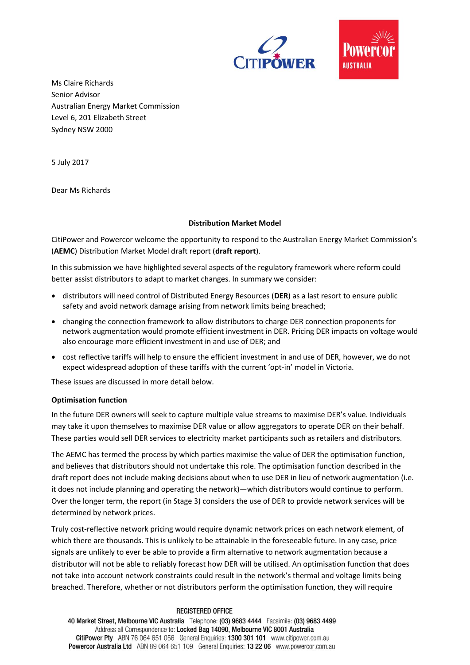



Ms Claire Richards Senior Advisor Australian Energy Market Commission Level 6, 201 Elizabeth Street Sydney NSW 2000

5 July 2017

Dear Ms Richards

## **Distribution Market Model**

CitiPower and Powercor welcome the opportunity to respond to the Australian Energy Market Commission's (**AEMC**) Distribution Market Model draft report (**draft report**).

In this submission we have highlighted several aspects of the regulatory framework where reform could better assist distributors to adapt to market changes. In summary we consider:

- distributors will need control of Distributed Energy Resources (**DER**) as a last resort to ensure public safety and avoid network damage arising from network limits being breached;
- changing the connection framework to allow distributors to charge DER connection proponents for network augmentation would promote efficient investment in DER. Pricing DER impacts on voltage would also encourage more efficient investment in and use of DER; and
- cost reflective tariffs will help to ensure the efficient investment in and use of DER, however, we do not expect widespread adoption of these tariffs with the current 'opt-in' model in Victoria.

These issues are discussed in more detail below.

### **Optimisation function**

In the future DER owners will seek to capture multiple value streams to maximise DER's value. Individuals may take it upon themselves to maximise DER value or allow aggregators to operate DER on their behalf. These parties would sell DER services to electricity market participants such as retailers and distributors.

The AEMC has termed the process by which parties maximise the value of DER the optimisation function, and believes that distributors should not undertake this role. The optimisation function described in the draft report does not include making decisions about when to use DER in lieu of network augmentation (i.e. it does not include planning and operating the network)—which distributors would continue to perform. Over the longer term, the report (in Stage 3) considers the use of DER to provide network services will be determined by network prices.

Truly cost-reflective network pricing would require dynamic network prices on each network element, of which there are thousands. This is unlikely to be attainable in the foreseeable future. In any case, price signals are unlikely to ever be able to provide a firm alternative to network augmentation because a distributor will not be able to reliably forecast how DER will be utilised. An optimisation function that does not take into account network constraints could result in the network's thermal and voltage limits being breached. Therefore, whether or not distributors perform the optimisation function, they will require

#### **REGISTERED OFFICE**

40 Market Street, Melbourne VIC Australia Telephone: (03) 9683 4444 Facsimile: (03) 9683 4499 Address all Correspondence to: Locked Bag 14090, Melbourne VIC 8001 Australia CitiPower Pty ABN 76 064 651 056 General Enquiries: 1300 301 101 www.citipower.com.au Powercor Australia Ltd ABN 89 064 651 109 General Enquiries: 13 22 06 www.powercor.com.au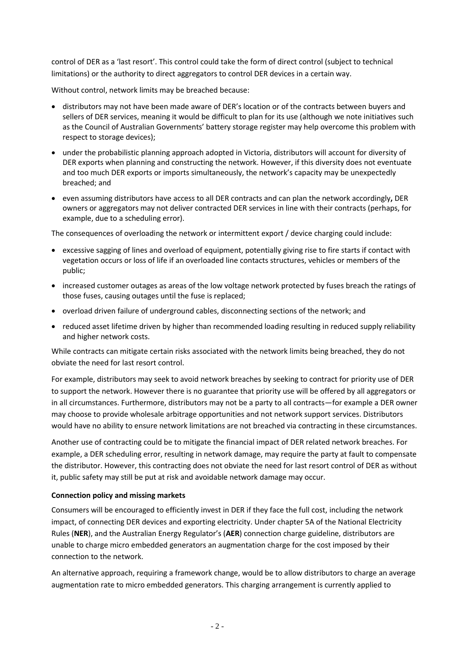control of DER as a 'last resort'. This control could take the form of direct control (subject to technical limitations) or the authority to direct aggregators to control DER devices in a certain way.

Without control, network limits may be breached because:

- distributors may not have been made aware of DER's location or of the contracts between buyers and sellers of DER services, meaning it would be difficult to plan for its use (although we note initiatives such as the Council of Australian Governments' battery storage register may help overcome this problem with respect to storage devices);
- under the probabilistic planning approach adopted in Victoria, distributors will account for diversity of DER exports when planning and constructing the network. However, if this diversity does not eventuate and too much DER exports or imports simultaneously, the network's capacity may be unexpectedly breached; and
- even assuming distributors have access to all DER contracts and can plan the network accordingly**,** DER owners or aggregators may not deliver contracted DER services in line with their contracts (perhaps, for example, due to a scheduling error).

The consequences of overloading the network or intermittent export / device charging could include:

- excessive sagging of lines and overload of equipment, potentially giving rise to fire starts if contact with vegetation occurs or loss of life if an overloaded line contacts structures, vehicles or members of the public;
- increased customer outages as areas of the low voltage network protected by fuses breach the ratings of those fuses, causing outages until the fuse is replaced;
- overload driven failure of underground cables, disconnecting sections of the network; and
- reduced asset lifetime driven by higher than recommended loading resulting in reduced supply reliability and higher network costs.

While contracts can mitigate certain risks associated with the network limits being breached, they do not obviate the need for last resort control.

For example, distributors may seek to avoid network breaches by seeking to contract for priority use of DER to support the network. However there is no guarantee that priority use will be offered by all aggregators or in all circumstances. Furthermore, distributors may not be a party to all contracts—for example a DER owner may choose to provide wholesale arbitrage opportunities and not network support services. Distributors would have no ability to ensure network limitations are not breached via contracting in these circumstances.

Another use of contracting could be to mitigate the financial impact of DER related network breaches. For example, a DER scheduling error, resulting in network damage, may require the party at fault to compensate the distributor. However, this contracting does not obviate the need for last resort control of DER as without it, public safety may still be put at risk and avoidable network damage may occur.

# **Connection policy and missing markets**

Consumers will be encouraged to efficiently invest in DER if they face the full cost, including the network impact, of connecting DER devices and exporting electricity. Under chapter 5A of the National Electricity Rules (**NER**), and the Australian Energy Regulator's (**AER**) connection charge guideline, distributors are unable to charge micro embedded generators an augmentation charge for the cost imposed by their connection to the network.

An alternative approach, requiring a framework change, would be to allow distributors to charge an average augmentation rate to micro embedded generators. This charging arrangement is currently applied to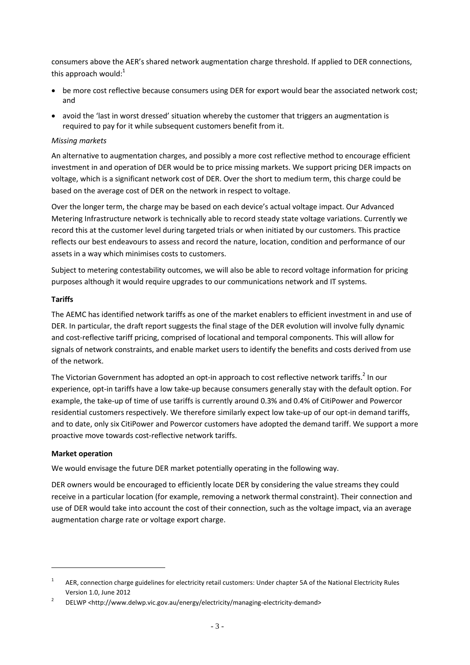consumers above the AER's shared network augmentation charge threshold. If applied to DER connections, this approach would: $1$ 

- be more cost reflective because consumers using DER for export would bear the associated network cost; and
- avoid the 'last in worst dressed' situation whereby the customer that triggers an augmentation is required to pay for it while subsequent customers benefit from it.

# *Missing markets*

An alternative to augmentation charges, and possibly a more cost reflective method to encourage efficient investment in and operation of DER would be to price missing markets. We support pricing DER impacts on voltage, which is a significant network cost of DER. Over the short to medium term, this charge could be based on the average cost of DER on the network in respect to voltage.

Over the longer term, the charge may be based on each device's actual voltage impact. Our Advanced Metering Infrastructure network is technically able to record steady state voltage variations. Currently we record this at the customer level during targeted trials or when initiated by our customers. This practice reflects our best endeavours to assess and record the nature, location, condition and performance of our assets in a way which minimises costs to customers.

Subject to metering contestability outcomes, we will also be able to record voltage information for pricing purposes although it would require upgrades to our communications network and IT systems.

## **Tariffs**

The AEMC has identified network tariffs as one of the market enablers to efficient investment in and use of DER. In particular, the draft report suggests the final stage of the DER evolution will involve fully dynamic and cost-reflective tariff pricing, comprised of locational and temporal components. This will allow for signals of network constraints, and enable market users to identify the benefits and costs derived from use of the network.

The Victorian Government has adopted an opt-in approach to cost reflective network tariffs.<sup>2</sup> In our experience, opt-in tariffs have a low take-up because consumers generally stay with the default option. For example, the take-up of time of use tariffs is currently around 0.3% and 0.4% of CitiPower and Powercor residential customers respectively. We therefore similarly expect low take-up of our opt-in demand tariffs, and to date, only six CitiPower and Powercor customers have adopted the demand tariff. We support a more proactive move towards cost-reflective network tariffs.

## **Market operation**

We would envisage the future DER market potentially operating in the following way.

DER owners would be encouraged to efficiently locate DER by considering the value streams they could receive in a particular location (for example, removing a network thermal constraint). Their connection and use of DER would take into account the cost of their connection, such as the voltage impact, via an average augmentation charge rate or voltage export charge.

<sup>1</sup> AER, connection charge guidelines for electricity retail customers: Under chapter 5A of the National Electricity Rules Version 1.0, June 2012

<sup>2</sup> DELWP <http://www.delwp.vic.gov.au/energy/electricity/managing-electricity-demand>